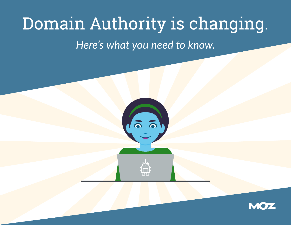# Domain Authority is changing.

*Here's what you need to know.*



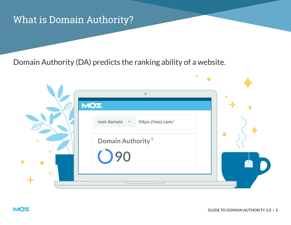### What is Domain Authority?

Domain Authority (DA) predicts the ranking ability of a website.

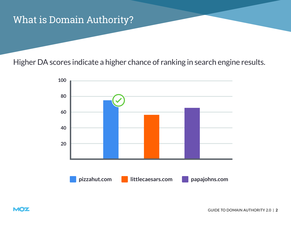### What is Domain Authority?

Higher DA scores indicate a higher chance of ranking in search engine results.

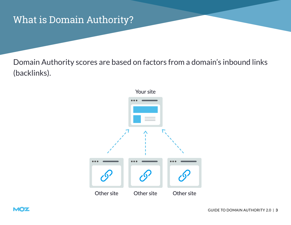### What is Domain Authority?

Domain Authority scores are based on factors from a domain's inbound links (backlinks).



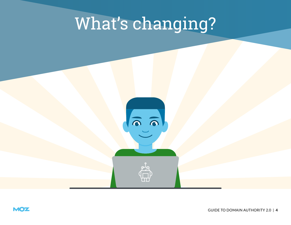# What's changing?

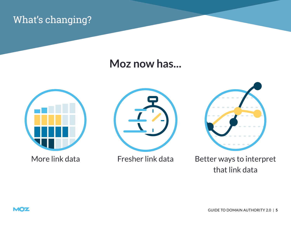### What's changing?

### **Moz now has...**





Fresher link data



More link data Fresher link data Better ways to interpret that link data

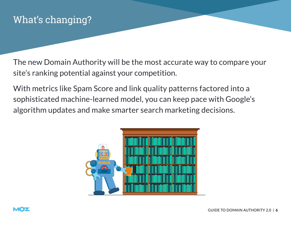The new Domain Authority will be the most accurate way to compare your site's ranking potential against your competition.

With metrics like Spam Score and link quality patterns factored into a sophisticated machine-learned model, you can keep pace with Google's algorithm updates and make smarter search marketing decisions.



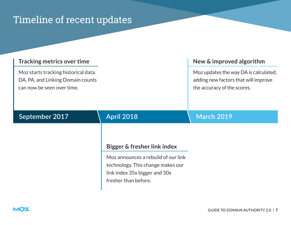### Timeline of recent updates

#### **Tracking metrics over time**

Moz starts tracking historical data. DA, PA, and Linking Domain counts can now be seen over time.

#### **New & improved algorithm**

Moz updates the way DA is calculated, adding new factors that will improve the accuracy of the scores.

#### **September 2017 April 2018 March 2019**

#### **Bigger & fresher link index**

Moz announces a rebuild of our link technology. This change makes our link index 35x bigger and 30x fresher than before.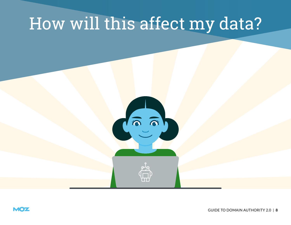## How will this affect my data?



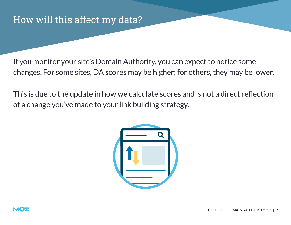If you monitor your site's Domain Authority, you can expect to notice some changes. For some sites, DA scores may be higher; for others, they may be lower.

This is due to the update in how we calculate scores and is not a direct reflection of a change you've made to your link building strategy.



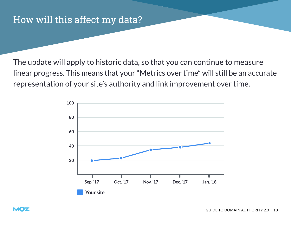The update will apply to historic data, so that you can continue to measure linear progress. This means that your "Metrics over time" will still be an accurate representation of your site's authority and link improvement over time.

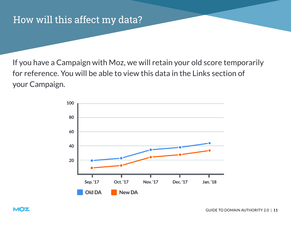If you have a Campaign with Moz, we will retain your old score temporarily for reference. You will be able to view this data in the Links section of your Campaign.

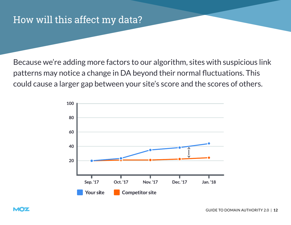Because we're adding more factors to our algorithm, sites with suspicious link patterns may notice a change in DA beyond their normal fluctuations. This could cause a larger gap between your site's score and the scores of others.

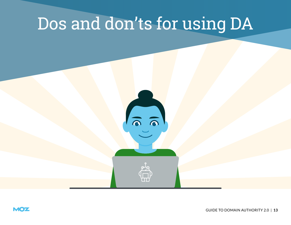# Dos and don'ts for using DA



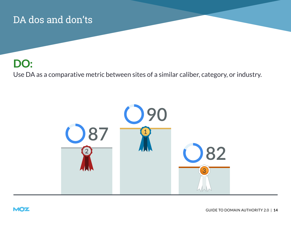### **DO:**

Use DA as a comparative metric between sites of a similar caliber, category, or industry.



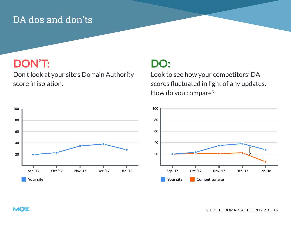### **DON'T:**

**MOZ** 

Don't look at your site's Domain Authority score in isolation.



Look to see how your competitors' DA scores fluctuated in light of any updates. How do you compare?

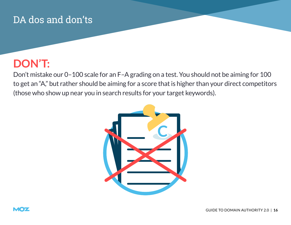### **DON'T:**

Don't mistake our 0–100 scale for an F–A grading on a test. You should not be aiming for 100 to get an "A," but rather should be aiming for a score that is higher than your direct competitors (those who show up near you in search results for your target keywords).



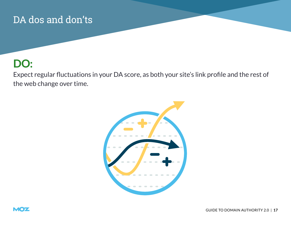### **DO:**

Expect regular fluctuations in your DA score, as both your site's link profile and the rest of the web change over time.



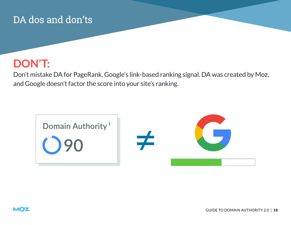### **DON'T:**

Don't mistake DA for PageRank, Google's link-based ranking signal. DA was created by Moz, and Google doesn't factor the score into your site's ranking.



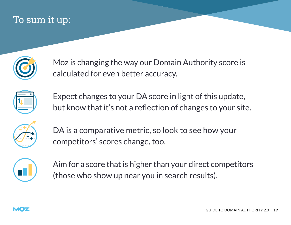### To sum it up:



Moz is changing the way our Domain Authority score is calculated for even better accuracy.



Expect changes to your DA score in light of this update, but know that it's not a reflection of changes to your site.



DA is a comparative metric, so look to see how your competitors' scores change, too.



Aim for a score that is higher than your direct competitors (those who show up near you in search results).